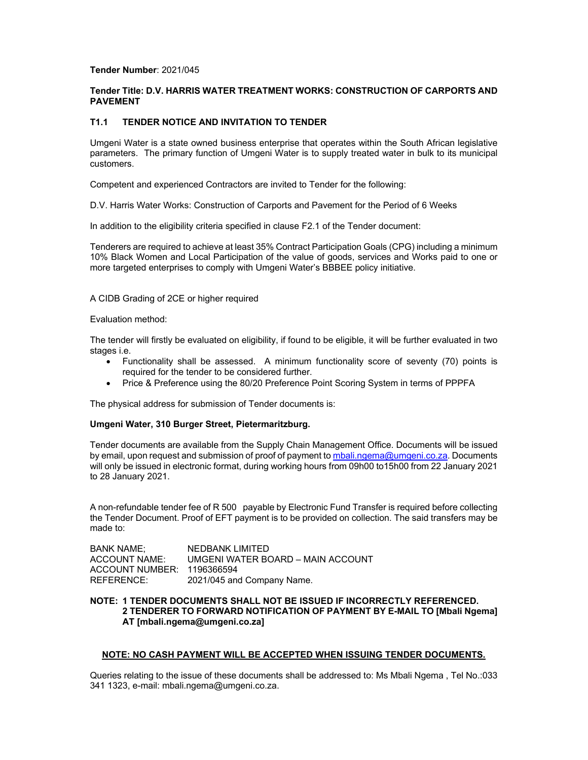### **Tender Number**: 2021/045

# **Tender Title: D.V. HARRIS WATER TREATMENT WORKS: CONSTRUCTION OF CARPORTS AND PAVEMENT**

# **T1.1 TENDER NOTICE AND INVITATION TO TENDER**

Umgeni Water is a state owned business enterprise that operates within the South African legislative parameters. The primary function of Umgeni Water is to supply treated water in bulk to its municipal customers.

Competent and experienced Contractors are invited to Tender for the following:

D.V. Harris Water Works: Construction of Carports and Pavement for the Period of 6 Weeks

In addition to the eligibility criteria specified in clause F2.1 of the Tender document:

Tenderers are required to achieve at least 35% Contract Participation Goals (CPG) including a minimum 10% Black Women and Local Participation of the value of goods, services and Works paid to one or more targeted enterprises to comply with Umgeni Water's BBBEE policy initiative.

### A CIDB Grading of 2CE or higher required

#### Evaluation method:

The tender will firstly be evaluated on eligibility, if found to be eligible, it will be further evaluated in two stages i.e.

- Functionality shall be assessed. A minimum functionality score of seventy (70) points is required for the tender to be considered further.
- Price & Preference using the 80/20 Preference Point Scoring System in terms of PPPFA

The physical address for submission of Tender documents is:

### **Umgeni Water, 310 Burger Street, Pietermaritzburg.**

Tender documents are available from the Supply Chain Management Office. Documents will be issued by email, upon request and submission of proof of payment to mbali.ngema@umgeni.co.za. Documents will only be issued in electronic format, during working hours from 09h00 to15h00 from 22 January 2021 to 28 January 2021.

A non-refundable tender fee of R 500 payable by Electronic Fund Transfer is required before collecting the Tender Document. Proof of EFT payment is to be provided on collection. The said transfers may be made to:

BANK NAME; NEDBANK LIMITED ACCOUNT NAME: UMGENI WATER BOARD – MAIN ACCOUNT ACCOUNT NUMBER: 1196366594 REFERENCE: 2021/045 and Company Name.

**NOTE: 1 TENDER DOCUMENTS SHALL NOT BE ISSUED IF INCORRECTLY REFERENCED. 2 TENDERER TO FORWARD NOTIFICATION OF PAYMENT BY E-MAIL TO [Mbali Ngema] AT [mbali.ngema@umgeni.co.za]** 

### **NOTE: NO CASH PAYMENT WILL BE ACCEPTED WHEN ISSUING TENDER DOCUMENTS.**

Queries relating to the issue of these documents shall be addressed to: Ms Mbali Ngema , Tel No.:033 341 1323, e-mail: mbali.ngema@umgeni.co.za.